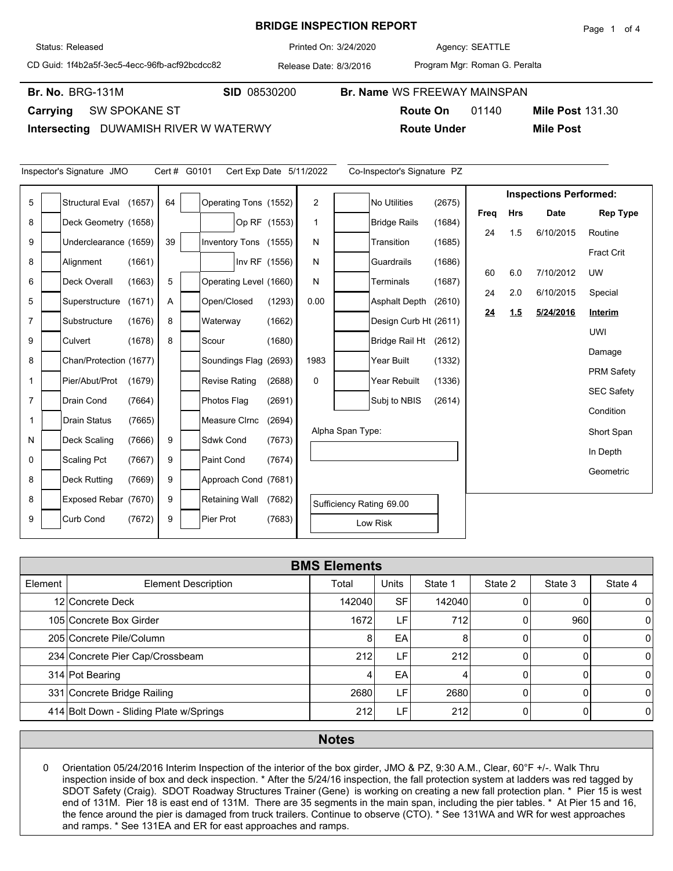## **BRIDGE INSPECTION REPORT**

**Br. No. SID** 08530200 **Br. Name** WS FREEWAY MAINSPAN

Agency: 3/24/2020 SEATTLE

CD Guid: 1f4b2a5f-3ec5-4ecc-96fb-acf92bcdcc82

Release Date: 8/3/2016 Printed On:

Program Mgr: Roman G. Peralta

**Br. No. BRG-131M** 

Status: Released

**Carrying** SW SPOKANE ST

Inspector's Signature JMO Cert # G0101

**Intersecting** DUWAMISH RIVER W WATERWY

Π

|                         | <b>Route On</b>             | 01140 | <b>Mile Post 131.30</b>       |  |  |  |  |
|-------------------------|-----------------------------|-------|-------------------------------|--|--|--|--|
| ATERWY                  | <b>Route Under</b>          |       | <b>Mile Post</b>              |  |  |  |  |
|                         |                             |       |                               |  |  |  |  |
| Cert Exp Date 5/11/2022 | Co-Inspector's Signature PZ |       |                               |  |  |  |  |
|                         |                             |       | <b>Inspections Performed:</b> |  |  |  |  |

| 5              | Structural Eval (1657) |        | 64 | Operating Tons (1552)  |               | $\overline{2}$ |                  | No Utilities             | (2675) |      |            | mopoenono i errormea. |                   |
|----------------|------------------------|--------|----|------------------------|---------------|----------------|------------------|--------------------------|--------|------|------------|-----------------------|-------------------|
|                |                        |        |    |                        |               |                |                  |                          |        | Freq | <b>Hrs</b> | Date                  | <b>Rep Type</b>   |
| 8              | Deck Geometry (1658)   |        |    |                        | Op RF (1553)  |                |                  | <b>Bridge Rails</b>      | (1684) | 24   | 1.5        | 6/10/2015             | Routine           |
| 9              | Underclearance (1659)  |        | 39 | Inventory Tons (1555)  |               | N              |                  | Transition               | (1685) |      |            |                       |                   |
| 8              | Alignment              | (1661) |    |                        | Inv RF (1556) | N              |                  | Guardrails               | (1686) |      |            |                       | <b>Fract Crit</b> |
| 6              | Deck Overall           |        | 5  |                        |               | N              |                  | <b>Terminals</b>         | (1687) | 60   | 6.0        | 7/10/2012             | <b>UW</b>         |
|                |                        | (1663) |    | Operating Level (1660) |               |                |                  |                          |        | 24   | 2.0        | 6/10/2015             | Special           |
| 5              | Superstructure         | (1671) | Α  | Open/Closed            | (1293)        | 0.00           |                  | <b>Asphalt Depth</b>     | (2610) |      |            |                       | Interim           |
| $\overline{7}$ | Substructure           | (1676) | 8  | Waterway               | (1662)        |                |                  | Design Curb Ht (2611)    |        | 24   | 1.5        | 5/24/2016             |                   |
| 9              | Culvert                | (1678) | 8  | Scour                  | (1680)        |                |                  | Bridge Rail Ht           | (2612) |      |            |                       | <b>UWI</b>        |
|                |                        |        |    |                        |               |                |                  |                          |        |      |            |                       | Damage            |
| 8              | Chan/Protection (1677) |        |    | Soundings Flag (2693)  |               | 1983           |                  | Year Built               | (1332) |      |            |                       | <b>PRM Safety</b> |
| $\mathbf{1}$   | Pier/Abut/Prot         | (1679) |    | <b>Revise Rating</b>   | (2688)        | $\Omega$       |                  | Year Rebuilt             | (1336) |      |            |                       |                   |
| $\overline{7}$ | Drain Cond             | (7664) |    | Photos Flag            | (2691)        |                |                  | Subj to NBIS             | (2614) |      |            |                       | <b>SEC Safety</b> |
|                |                        |        |    |                        |               |                |                  |                          |        |      |            |                       | Condition         |
| 1              | <b>Drain Status</b>    | (7665) |    | Measure CIrnc          | (2694)        |                | Alpha Span Type: |                          |        |      |            |                       | Short Span        |
| N              | Deck Scaling           | (7666) | 9  | Sdwk Cond              | (7673)        |                |                  |                          |        |      |            |                       |                   |
| 0              | <b>Scaling Pct</b>     | (7667) | 9  | <b>Paint Cond</b>      | (7674)        |                |                  |                          |        |      |            |                       | In Depth          |
| 8              |                        |        | 9  |                        |               |                |                  |                          |        |      |            |                       | Geometric         |
|                | <b>Deck Rutting</b>    | (7669) |    | Approach Cond (7681)   |               |                |                  |                          |        |      |            |                       |                   |
| 8              | Exposed Rebar (7670)   |        | 9  | <b>Retaining Wall</b>  | (7682)        |                |                  | Sufficiency Rating 69.00 |        |      |            |                       |                   |
| 9              | <b>Curb Cond</b>       | (7672) | 9  | Pier Prot              | (7683)        |                |                  | Low Risk                 |        |      |            |                       |                   |
|                |                        |        |    |                        |               |                |                  |                          |        |      |            |                       |                   |

|         | <b>BMS Elements</b>                     |        |           |         |         |         |                |  |  |  |  |  |
|---------|-----------------------------------------|--------|-----------|---------|---------|---------|----------------|--|--|--|--|--|
| Element | <b>Element Description</b>              | Total  | Units     | State 1 | State 2 | State 3 | State 4        |  |  |  |  |  |
|         | 12 Concrete Deck                        | 142040 | <b>SF</b> | 142040  |         |         | 0              |  |  |  |  |  |
|         | 105 Concrete Box Girder                 | 1672   | LF.       | 712     |         | 960     | $\overline{0}$ |  |  |  |  |  |
|         | 205 Concrete Pile/Column                | 8      | EA        | 8       |         |         | $\Omega$       |  |  |  |  |  |
|         | 234 Concrete Pier Cap/Crossbeam         | 212    | LF.       | 212     |         |         | $\Omega$       |  |  |  |  |  |
|         | 314 Pot Bearing                         |        | EA        | 4       |         |         | $\Omega$       |  |  |  |  |  |
|         | 331 Concrete Bridge Railing             | 2680   | ιF.       | 2680    |         |         | $\Omega$       |  |  |  |  |  |
|         | 414 Bolt Down - Sliding Plate w/Springs | 212    | ιF.       | 212     |         |         | $\overline{0}$ |  |  |  |  |  |

## **Notes**

0 Orientation 05/24/2016 Interim Inspection of the interior of the box girder, JMO & PZ, 9:30 A.M., Clear, 60°F +/-. Walk Thru inspection inside of box and deck inspection. \* After the 5/24/16 inspection, the fall protection system at ladders was red tagged by SDOT Safety (Craig). SDOT Roadway Structures Trainer (Gene) is working on creating a new fall protection plan. \* Pier 15 is west end of 131M. Pier 18 is east end of 131M. There are 35 segments in the main span, including the pier tables. \* At Pier 15 and 16, the fence around the pier is damaged from truck trailers. Continue to observe (CTO). \* See 131WA and WR for west approaches and ramps. \* See 131EA and ER for east approaches and ramps.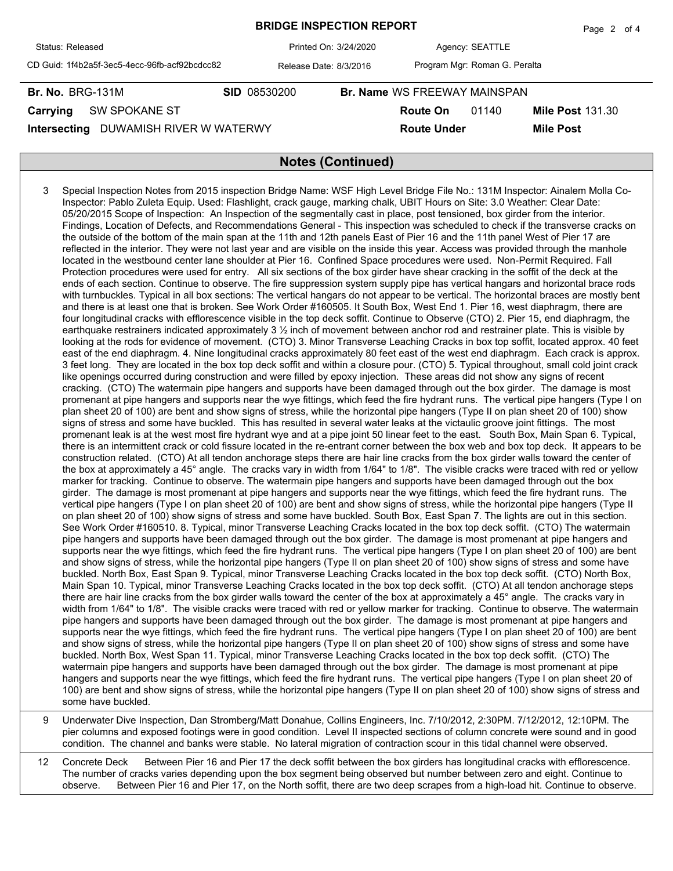|                                               |                        |                       |                                     |                               | $1 - 490$ $- 011$       |  |  |  |
|-----------------------------------------------|------------------------|-----------------------|-------------------------------------|-------------------------------|-------------------------|--|--|--|
| Status: Released                              |                        | Printed On: 3/24/2020 |                                     | Agency: SEATTLE               |                         |  |  |  |
| CD Guid: 1f4b2a5f-3ec5-4ecc-96fb-acf92bcdcc82 | Release Date: 8/3/2016 |                       |                                     | Program Mgr: Roman G. Peralta |                         |  |  |  |
| <b>Br. No. BRG-131M</b>                       | <b>SID 08530200</b>    |                       | <b>Br. Name WS FREEWAY MAINSPAN</b> |                               |                         |  |  |  |
| <b>SW SPOKANE ST</b><br>Carrying              |                        |                       | <b>Route On</b>                     | 01140                         | <b>Mile Post 131.30</b> |  |  |  |
| DUWAMISH RIVER W WATERWY<br>Intersecting      |                        |                       | <b>Route Under</b>                  |                               | <b>Mile Post</b>        |  |  |  |
|                                               |                        |                       |                                     |                               |                         |  |  |  |
| <b>Notes (Continued)</b>                      |                        |                       |                                     |                               |                         |  |  |  |

**BRIDGE INSPECTION REPORT**

Page  $2$  of  $4$ 

3 Special Inspection Notes from 2015 inspection Bridge Name: WSF High Level Bridge File No.: 131M Inspector: Ainalem Molla Co-Inspector: Pablo Zuleta Equip. Used: Flashlight, crack gauge, marking chalk, UBIT Hours on Site: 3.0 Weather: Clear Date: 05/20/2015 Scope of Inspection: An Inspection of the segmentally cast in place, post tensioned, box girder from the interior. Findings, Location of Defects, and Recommendations General - This inspection was scheduled to check if the transverse cracks on the outside of the bottom of the main span at the 11th and 12th panels East of Pier 16 and the 11th panel West of Pier 17 are reflected in the interior. They were not last year and are visible on the inside this year. Access was provided through the manhole located in the westbound center lane shoulder at Pier 16. Confined Space procedures were used. Non-Permit Required. Fall Protection procedures were used for entry. All six sections of the box girder have shear cracking in the soffit of the deck at the ends of each section. Continue to observe. The fire suppression system supply pipe has vertical hangars and horizontal brace rods with turnbuckles. Typical in all box sections: The vertical hangars do not appear to be vertical. The horizontal braces are mostly bent and there is at least one that is broken. See Work Order #160505. It South Box, West End 1. Pier 16, west diaphragm, there are four longitudinal cracks with efflorescence visible in the top deck soffit. Continue to Observe (CTO) 2. Pier 15, end diaphragm, the earthquake restrainers indicated approximately 3 ½ inch of movement between anchor rod and restrainer plate. This is visible by looking at the rods for evidence of movement. (CTO) 3. Minor Transverse Leaching Cracks in box top soffit, located approx. 40 feet east of the end diaphragm. 4. Nine longitudinal cracks approximately 80 feet east of the west end diaphragm. Each crack is approx. 3 feet long. They are located in the box top deck soffit and within a closure pour. (CTO) 5. Typical throughout, small cold joint crack like openings occurred during construction and were filled by epoxy injection. These areas did not show any signs of recent cracking. (CTO) The watermain pipe hangers and supports have been damaged through out the box girder. The damage is most promenant at pipe hangers and supports near the wye fittings, which feed the fire hydrant runs. The vertical pipe hangers (Type I on plan sheet 20 of 100) are bent and show signs of stress, while the horizontal pipe hangers (Type II on plan sheet 20 of 100) show signs of stress and some have buckled. This has resulted in several water leaks at the victaulic groove joint fittings. The most promenant leak is at the west most fire hydrant wye and at a pipe joint 50 linear feet to the east. South Box, Main Span 6. Typical, there is an intermittent crack or cold fissure located in the re-entrant corner between the box web and box top deck. It appears to be construction related. (CTO) At all tendon anchorage steps there are hair line cracks from the box girder walls toward the center of the box at approximately a 45° angle. The cracks vary in width from 1/64" to 1/8". The visible cracks were traced with red or yellow marker for tracking. Continue to observe. The watermain pipe hangers and supports have been damaged through out the box girder. The damage is most promenant at pipe hangers and supports near the wye fittings, which feed the fire hydrant runs. The vertical pipe hangers (Type I on plan sheet 20 of 100) are bent and show signs of stress, while the horizontal pipe hangers (Type II on plan sheet 20 of 100) show signs of stress and some have buckled. South Box, East Span 7. The lights are out in this section. See Work Order #160510. 8. Typical, minor Transverse Leaching Cracks located in the box top deck soffit. (CTO) The watermain pipe hangers and supports have been damaged through out the box girder. The damage is most promenant at pipe hangers and supports near the wye fittings, which feed the fire hydrant runs. The vertical pipe hangers (Type I on plan sheet 20 of 100) are bent and show signs of stress, while the horizontal pipe hangers (Type II on plan sheet 20 of 100) show signs of stress and some have buckled. North Box, East Span 9. Typical, minor Transverse Leaching Cracks located in the box top deck soffit. (CTO) North Box, Main Span 10. Typical, minor Transverse Leaching Cracks located in the box top deck soffit. (CTO) At all tendon anchorage steps there are hair line cracks from the box girder walls toward the center of the box at approximately a 45° angle. The cracks vary in width from 1/64" to 1/8". The visible cracks were traced with red or yellow marker for tracking. Continue to observe. The watermain pipe hangers and supports have been damaged through out the box girder. The damage is most promenant at pipe hangers and supports near the wye fittings, which feed the fire hydrant runs. The vertical pipe hangers (Type I on plan sheet 20 of 100) are bent and show signs of stress, while the horizontal pipe hangers (Type II on plan sheet 20 of 100) show signs of stress and some have buckled. North Box, West Span 11. Typical, minor Transverse Leaching Cracks located in the box top deck soffit. (CTO) The watermain pipe hangers and supports have been damaged through out the box girder. The damage is most promenant at pipe hangers and supports near the wye fittings, which feed the fire hydrant runs. The vertical pipe hangers (Type I on plan sheet 20 of 100) are bent and show signs of stress, while the horizontal pipe hangers (Type II on plan sheet 20 of 100) show signs of stress and some have buckled.

9 Underwater Dive Inspection, Dan Stromberg/Matt Donahue, Collins Engineers, Inc. 7/10/2012, 2:30PM. 7/12/2012, 12:10PM. The pier columns and exposed footings were in good condition. Level II inspected sections of column concrete were sound and in good condition. The channel and banks were stable. No lateral migration of contraction scour in this tidal channel were observed.

12 Concrete Deck Between Pier 16 and Pier 17 the deck soffit between the box girders has longitudinal cracks with efflorescence. The number of cracks varies depending upon the box segment being observed but number between zero and eight. Continue to observe. Between Pier 16 and Pier 17, on the North soffit, there are two deep scrapes from a high-load hit. Continue to observe.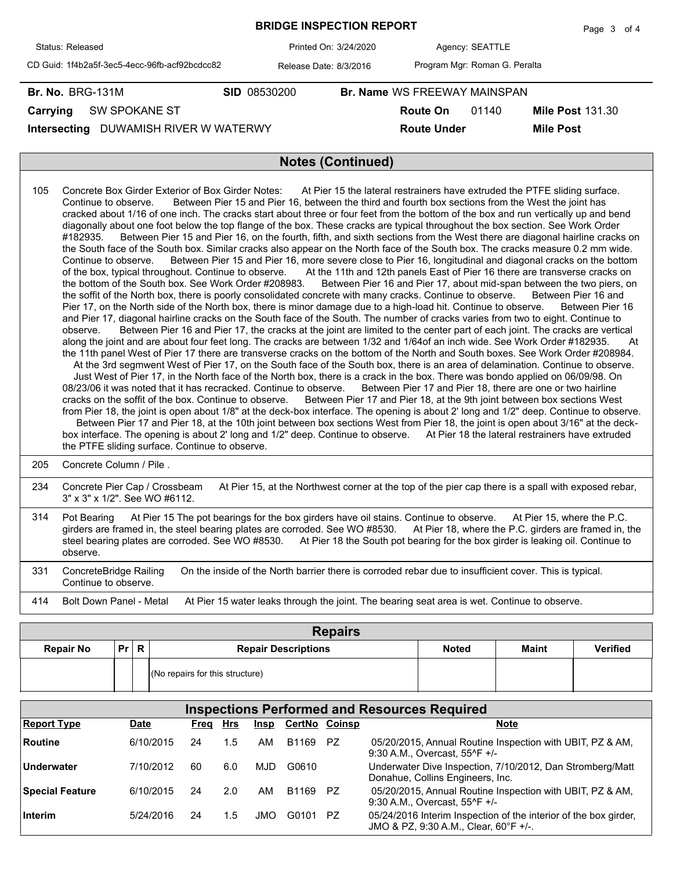|                                               | Page 3 of 4            |  |                                     |                               |                         |  |  |  |  |
|-----------------------------------------------|------------------------|--|-------------------------------------|-------------------------------|-------------------------|--|--|--|--|
| Status: Released                              | Printed On: 3/24/2020  |  |                                     | Agency: SEATTLE               |                         |  |  |  |  |
| CD Guid: 1f4b2a5f-3ec5-4ecc-96fb-acf92bcdcc82 | Release Date: 8/3/2016 |  |                                     | Program Mgr: Roman G. Peralta |                         |  |  |  |  |
| <b>Br. No. BRG-131M</b>                       | <b>SID 08530200</b>    |  | <b>Br. Name WS FREEWAY MAINSPAN</b> |                               |                         |  |  |  |  |
| SW SPOKANE ST<br>Carrying                     |                        |  | Route On                            | 01140                         | <b>Mile Post 131.30</b> |  |  |  |  |
| DUWAMISH RIVER W WATERWY<br>Intersecting      |                        |  | <b>Route Under</b>                  |                               | <b>Mile Post</b>        |  |  |  |  |
|                                               |                        |  |                                     |                               |                         |  |  |  |  |
| <b>Notes (Continued)</b>                      |                        |  |                                     |                               |                         |  |  |  |  |

| 105 | Concrete Box Girder Exterior of Box Girder Notes: At Pier 15 the lateral restrainers have extruded the PTFE sliding surface.<br>Between Pier 15 and Pier 16, between the third and fourth box sections from the West the joint has<br>Continue to observe.<br>cracked about 1/16 of one inch. The cracks start about three or four feet from the bottom of the box and run vertically up and bend<br>diagonally about one foot below the top flange of the box. These cracks are typical throughout the box section. See Work Order<br>Between Pier 15 and Pier 16, on the fourth, fifth, and sixth sections from the West there are diagonal hairline cracks on<br>#182935.<br>the South face of the South box. Similar cracks also appear on the North face of the South box. The cracks measure 0.2 mm wide.<br>Between Pier 15 and Pier 16, more severe close to Pier 16, longitudinal and diagonal cracks on the bottom<br>Continue to observe.<br>of the box, typical throughout. Continue to observe. At the 11th and 12th panels East of Pier 16 there are transverse cracks on<br>the bottom of the South box. See Work Order #208983.<br>Between Pier 16 and Pier 17, about mid-span between the two piers, on<br>the soffit of the North box, there is poorly consolidated concrete with many cracks. Continue to observe.<br>Between Pier 16 and<br>Pier 17, on the North side of the North box, there is minor damage due to a high-load hit. Continue to observe. Between Pier 16<br>and Pier 17, diagonal hairline cracks on the South face of the South. The number of cracks varies from two to eight. Continue to<br>Between Pier 16 and Pier 17, the cracks at the joint are limited to the center part of each joint. The cracks are vertical<br>observe.<br>along the joint and are about four feet long. The cracks are between 1/32 and 1/64of an inch wide. See Work Order #182935.<br>At<br>the 11th panel West of Pier 17 there are transverse cracks on the bottom of the North and South boxes. See Work Order #208984.<br>At the 3rd segmwent West of Pier 17, on the South face of the South box, there is an area of delamination. Continue to observe.<br>Just West of Pier 17, in the North face of the North box, there is a crack in the box. There was bondo applied on 06/09/98. On<br>08/23/06 it was noted that it has recracked. Continue to observe. Between Pier 17 and Pier 18, there are one or two hairline<br>cracks on the soffit of the box. Continue to observe. Between Pier 17 and Pier 18, at the 9th joint between box sections West<br>from Pier 18, the joint is open about 1/8" at the deck-box interface. The opening is about 2' long and 1/2" deep. Continue to observe.<br>Between Pier 17 and Pier 18, at the 10th joint between box sections West from Pier 18, the joint is open about 3/16" at the deck-<br>box interface. The opening is about 2' long and 1/2" deep. Continue to observe. At Pier 18 the lateral restrainers have extruded<br>the PTFE sliding surface. Continue to observe. |
|-----|----------------------------------------------------------------------------------------------------------------------------------------------------------------------------------------------------------------------------------------------------------------------------------------------------------------------------------------------------------------------------------------------------------------------------------------------------------------------------------------------------------------------------------------------------------------------------------------------------------------------------------------------------------------------------------------------------------------------------------------------------------------------------------------------------------------------------------------------------------------------------------------------------------------------------------------------------------------------------------------------------------------------------------------------------------------------------------------------------------------------------------------------------------------------------------------------------------------------------------------------------------------------------------------------------------------------------------------------------------------------------------------------------------------------------------------------------------------------------------------------------------------------------------------------------------------------------------------------------------------------------------------------------------------------------------------------------------------------------------------------------------------------------------------------------------------------------------------------------------------------------------------------------------------------------------------------------------------------------------------------------------------------------------------------------------------------------------------------------------------------------------------------------------------------------------------------------------------------------------------------------------------------------------------------------------------------------------------------------------------------------------------------------------------------------------------------------------------------------------------------------------------------------------------------------------------------------------------------------------------------------------------------------------------------------------------------------------------------------------------------------------------------------------------------------------------------------------------------------------------------------------------------------------------------------------------------------------------------------------------------------------------------------------------------------------------|
| 205 | Concrete Column / Pile.                                                                                                                                                                                                                                                                                                                                                                                                                                                                                                                                                                                                                                                                                                                                                                                                                                                                                                                                                                                                                                                                                                                                                                                                                                                                                                                                                                                                                                                                                                                                                                                                                                                                                                                                                                                                                                                                                                                                                                                                                                                                                                                                                                                                                                                                                                                                                                                                                                                                                                                                                                                                                                                                                                                                                                                                                                                                                                                                                                                                                                        |
| 234 | Concrete Pier Cap / Crossbeam<br>At Pier 15, at the Northwest corner at the top of the pier cap there is a spall with exposed rebar,<br>3" x 3" x 1/2". See WO #6112.                                                                                                                                                                                                                                                                                                                                                                                                                                                                                                                                                                                                                                                                                                                                                                                                                                                                                                                                                                                                                                                                                                                                                                                                                                                                                                                                                                                                                                                                                                                                                                                                                                                                                                                                                                                                                                                                                                                                                                                                                                                                                                                                                                                                                                                                                                                                                                                                                                                                                                                                                                                                                                                                                                                                                                                                                                                                                          |
| 314 | At Pier 15 The pot bearings for the box girders have oil stains. Continue to observe. At Pier 15, where the P.C.<br>Pot Bearing<br>$\alpha$ , $f_{\alpha+1}$ , $f_{\alpha+1}$ , $f_{\alpha+1}$ , $f_{\alpha+1}$ , $f_{\alpha+1}$ , $f_{\alpha+1}$ , $f_{\alpha+1}$ , $f_{\alpha+1}$ , $f_{\alpha+1}$ , $f_{\alpha+1}$ , $f_{\alpha+1}$ , $f_{\alpha+1}$ , $f_{\alpha+1}$ , $f_{\alpha+1}$ , $f_{\alpha+1}$ , $f_{\alpha+1}$ , $f_{\alpha+1}$ , $f_{\alpha+1}$                                                                                                                                                                                                                                                                                                                                                                                                                                                                                                                                                                                                                                                                                                                                                                                                                                                                                                                                                                                                                                                                                                                                                                                                                                                                                                                                                                                                                                                                                                                                                                                                                                                                                                                                                                                                                                                                                                                                                                                                                                                                                                                                                                                                                                                                                                                                                                                                                                                                                                                                                                                                  |

girders are framed in, the steel bearing plates are corroded. See WO #8530. At Pier 18, where the P.C. girders are framed in, the steel bearing plates are corroded. See WO #8530. At Pier 18 the South pot bearing for the box girder is leaking oil. Continue to observe. 331 ConcreteBridge Railing On the inside of the North barrier there is corroded rebar due to insufficient cover. This is typical. Continue to observe.

414 Bolt Down Panel - Metal At Pier 15 water leaks through the joint. The bearing seat area is wet. Continue to observe.

| <b>Repairs</b>   |    |              |                                   |              |              |                 |  |  |  |  |  |  |  |
|------------------|----|--------------|-----------------------------------|--------------|--------------|-----------------|--|--|--|--|--|--|--|
| <b>Repair No</b> | Pr | $\mathsf{R}$ | <b>Repair Descriptions</b>        | <b>Noted</b> | <b>Maint</b> | <b>Verified</b> |  |  |  |  |  |  |  |
|                  |    |              | $(No$ repairs for this structure) |              |              |                 |  |  |  |  |  |  |  |

| <b>Inspections Performed and Resources Required</b> |           |      |     |             |               |     |                                                                                                                            |  |  |  |  |  |
|-----------------------------------------------------|-----------|------|-----|-------------|---------------|-----|----------------------------------------------------------------------------------------------------------------------------|--|--|--|--|--|
| <b>Report Type</b>                                  | Date      | Freg | Hrs | <u>Insp</u> | CertNo Coinsp |     | <b>Note</b>                                                                                                                |  |  |  |  |  |
| Routine                                             | 6/10/2015 | 24   | 1.5 | AM          | B1169         | PZ. | 05/20/2015, Annual Routine Inspection with UBIT, PZ & AM,<br>9:30 A.M., Overcast, 55^F +/-                                 |  |  |  |  |  |
| <b>Underwater</b>                                   | 7/10/2012 | 60   | 6.0 | MJD         | G0610         |     | Underwater Dive Inspection, 7/10/2012, Dan Stromberg/Matt<br>Donahue, Collins Engineers, Inc.                              |  |  |  |  |  |
| <b>Special Feature</b>                              | 6/10/2015 | 24   | 2.0 | AM          | B1169         | PZ. | 05/20/2015, Annual Routine Inspection with UBIT, PZ & AM,<br>9:30 A.M., Overcast, 55 <sup><math>\text{·F}</math></sup> +/- |  |  |  |  |  |
| Interim                                             | 5/24/2016 | 24   | 1.5 | JMO         | G0101         | PZ. | 05/24/2016 Interim Inspection of the interior of the box girder,<br>JMO & PZ, 9:30 A.M., Clear, 60°F +/-.                  |  |  |  |  |  |